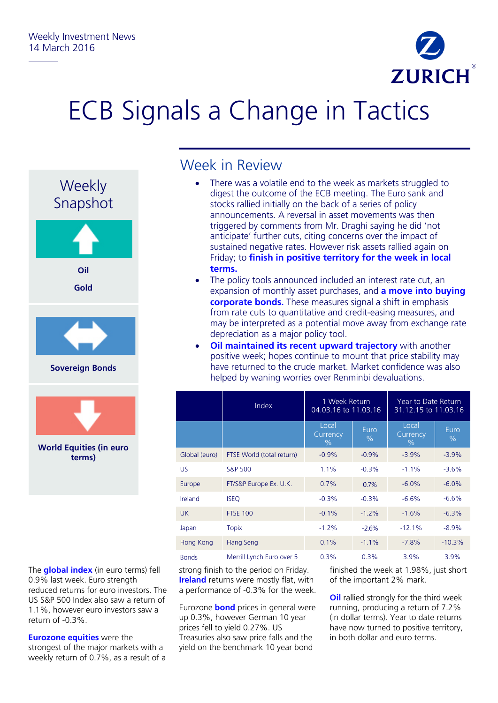

## ECB Signals a Change in Tactics



The **global index** (in euro terms) fell 0.9% last week. Euro strength reduced returns for euro investors. The US S&P 500 Index also saw a return of 1.1%, however euro investors saw a return of -0.3%.

**Eurozone equities** were the strongest of the major markets with a weekly return of 0.7%, as a result of a

## Week in Review

- There was a volatile end to the week as markets struggled to digest the outcome of the ECB meeting. The Euro sank and stocks rallied initially on the back of a series of policy announcements. A reversal in asset movements was then triggered by comments from Mr. Draghi saying he did 'not anticipate' further cuts, citing concerns over the impact of sustained negative rates. However risk assets rallied again on Friday; to **finish in positive territory for the week in local terms.**
- The policy tools announced included an interest rate cut, an expansion of monthly asset purchases, and **a move into buying corporate bonds.** These measures signal a shift in emphasis from rate cuts to quantitative and credit-easing measures, and may be interpreted as a potential move away from exchange rate depreciation as a major policy tool.
- **Oil maintained its recent upward trajectory** with another positive week; hopes continue to mount that price stability may have returned to the crude market. Market confidence was also helped by waning worries over Renminbi devaluations.

|               | <b>Index</b>              | 1 Week Return<br>04.03.16 to 11.03.16 |              | Year to Date Return<br>31.12.15 to 11.03.16 |              |
|---------------|---------------------------|---------------------------------------|--------------|---------------------------------------------|--------------|
|               |                           | Local<br>Currency<br>$\%$             | Euro<br>$\%$ | Local<br>Currency<br>$\%$                   | Euro<br>$\%$ |
| Global (euro) | FTSE World (total return) | $-0.9%$                               | $-0.9%$      | $-3.9%$                                     | $-3.9%$      |
| <b>US</b>     | <b>S&amp;P 500</b>        | 1.1%                                  | $-0.3%$      | $-1.1%$                                     | $-3.6%$      |
| Europe        | FT/S&P Europe Ex. U.K.    | 0.7%                                  | 0.7%         | $-6.0%$                                     | $-6.0%$      |
| Ireland       | <b>ISEQ</b>               | $-0.3%$                               | $-0.3%$      | $-6.6%$                                     | $-6.6%$      |
| <b>UK</b>     | <b>FTSE 100</b>           | $-0.1%$                               | $-1.2%$      | $-1.6%$                                     | $-6.3%$      |
| Japan         | <b>Topix</b>              | $-1.2%$                               | $-2.6%$      | $-12.1%$                                    | $-8.9%$      |
| Hong Kong     | Hang Seng                 | 0.1%                                  | $-1.1%$      | $-7.8%$                                     | $-10.3%$     |
| <b>Bonds</b>  | Merrill Lynch Euro over 5 | 0.3%                                  | 0.3%         | 3.9%                                        | 3.9%         |

strong finish to the period on Friday. **Ireland** returns were mostly flat, with a performance of -0.3% for the week.

Eurozone **bond** prices in general were up 0.3%, however German 10 year prices fell to yield 0.27%. US Treasuries also saw price falls and the yield on the benchmark 10 year bond

finished the week at 1.98%, just short of the important 2% mark.

**Oil** rallied strongly for the third week running, producing a return of 7.2% (in dollar terms). Year to date returns have now turned to positive territory, in both dollar and euro terms.